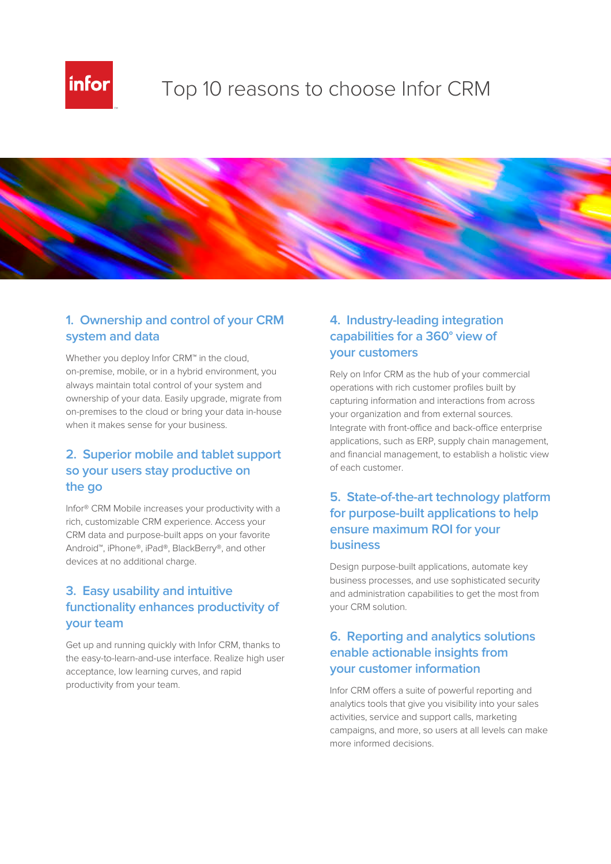

# Top 10 reasons to choose Infor CRM



# **1. Ownership and control of your CRM system and data**

Whether you deploy Infor CRM™ in the cloud, on-premise, mobile, or in a hybrid environment, you always maintain total control of your system and ownership of your data. Easily upgrade, migrate from on-premises to the cloud or bring your data in-house when it makes sense for your business.

#### **2. Superior mobile and tablet support so your users stay productive on the go**

Infor® CRM Mobile increases your productivity with a rich, customizable CRM experience. Access your CRM data and purpose-built apps on your favorite Android™, iPhone®, iPad®, BlackBerry®, and other devices at no additional charge.

# **3. Easy usability and intuitive functionality enhances productivity of your team**

Get up and running quickly with Infor CRM, thanks to the easy-to-learn-and-use interface. Realize high user acceptance, low learning curves, and rapid productivity from your team.

# **4. Industry-leading integration capabilities for a 360° view of your customers**

Rely on Infor CRM as the hub of your commercial operations with rich customer profiles built by capturing information and interactions from across your organization and from external sources. Integrate with front-office and back-office enterprise applications, such as ERP, supply chain management, and financial management, to establish a holistic view of each customer.

### **5. State-of-the-art technology platform for purpose-built applications to help ensure maximum ROI for your business**

Design purpose-built applications, automate key business processes, and use sophisticated security and administration capabilities to get the most from your CRM solution.

### **6. Reporting and analytics solutions enable actionable insights from your customer information**

Infor CRM offers a suite of powerful reporting and analytics tools that give you visibility into your sales activities, service and support calls, marketing campaigns, and more, so users at all levels can make more informed decisions.